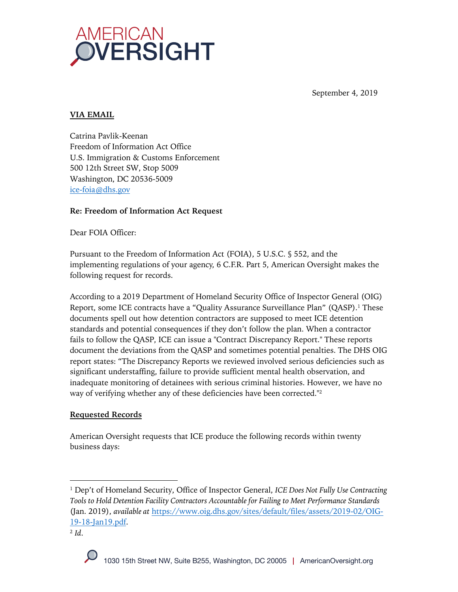

September 4, 2019

# **VIA EMAIL**

Catrina Pavlik-Keenan Freedom of Information Act Office U.S. Immigration & Customs Enforcement 500 12th Street SW, Stop 5009 Washington, DC 20536-5009 ice-foia@dhs.gov

# **Re: Freedom of Information Act Request**

Dear FOIA Officer:

Pursuant to the Freedom of Information Act (FOIA), 5 U.S.C. § 552, and the implementing regulations of your agency, 6 C.F.R. Part 5, American Oversight makes the following request for records.

According to a 2019 Department of Homeland Security Office of Inspector General (OIG) Report, some ICE contracts have a "Quality Assurance Surveillance Plan" (QASP).<sup>1</sup> These documents spell out how detention contractors are supposed to meet ICE detention standards and potential consequences if they don't follow the plan. When a contractor fails to follow the QASP, ICE can issue a "Contract Discrepancy Report." These reports document the deviations from the QASP and sometimes potential penalties. The DHS OIG report states: "The Discrepancy Reports we reviewed involved serious deficiencies such as significant understaffing, failure to provide sufficient mental health observation, and inadequate monitoring of detainees with serious criminal histories. However, we have no way of verifying whether any of these deficiencies have been corrected."2

### **Requested Records**

American Oversight requests that ICE produce the following records within twenty business days:

<sup>2</sup> *Id*.



<sup>1</sup> Dep't of Homeland Security, Office of Inspector General, *ICE Does Not Fully Use Contracting Tools to Hold Detention Facility Contractors Accountable for Failing to Meet Performance Standards* (Jan. 2019), *available at* https://www.oig.dhs.gov/sites/default/files/assets/2019-02/OIG-19-18-Jan19.pdf.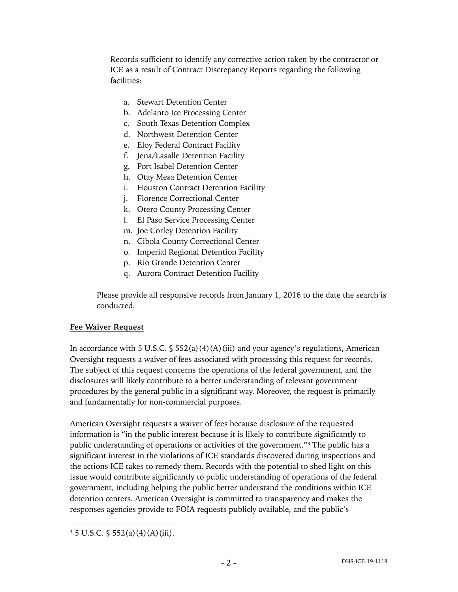Records sufficient to identify any corrective action taken by the contractor or ICE as a result of Contract Discrepancy Reports regarding the following facilities:

- a. Stewart Detention Center
- b. Adelanto Ice Processing Center
- c. South Texas Detention Complex
- d. Northwest Detention Center
- e. Eloy Federal Contract Facility
- f. Jena/Lasalle Detention Facility
- g. Port Isabel Detention Center
- h. Otay Mesa Detention Center
- i. Houston Contract Detention Facility
- j. Florence Correctional Center
- k. Otero County Processing Center
- l. El Paso Service Processing Center
- m. Joe Corley Detention Facility
- n. Cibola County Correctional Center
- o. Imperial Regional Detention Facility
- p. Rio Grande Detention Center
- q. Aurora Contract Detention Facility

Please provide all responsive records from January 1, 2016 to the date the search is conducted.

### **Fee Waiver Request**

In accordance with 5 U.S.C.  $\frac{1}{5}$  552(a)(4)(A)(iii) and your agency's regulations, American Oversight requests a waiver of fees associated with processing this request for records. The subject of this request concerns the operations of the federal government, and the disclosures will likely contribute to a better understanding of relevant government procedures by the general public in a significant way. Moreover, the request is primarily and fundamentally for non-commercial purposes.

American Oversight requests a waiver of fees because disclosure of the requested information is "in the public interest because it is likely to contribute significantly to public understanding of operations or activities of the government."3 The public has a significant interest in the violations of ICE standards discovered during inspections and the actions ICE takes to remedy them. Records with the potential to shed light on this issue would contribute significantly to public understanding of operations of the federal government, including helping the public better understand the conditions within ICE detention centers. American Oversight is committed to transparency and makes the responses agencies provide to FOIA requests publicly available, and the public's

 $3 \frac{1}{5}$  U.S.C. § 552(a)(4)(A)(iii).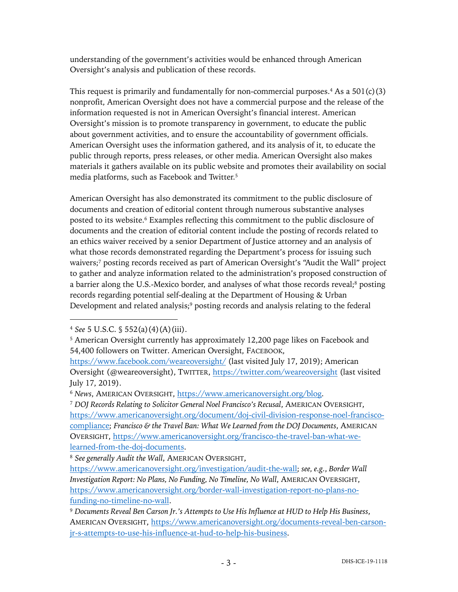understanding of the government's activities would be enhanced through American Oversight's analysis and publication of these records.

This request is primarily and fundamentally for non-commercial purposes.<sup>4</sup> As a  $501(c)(3)$ nonprofit, American Oversight does not have a commercial purpose and the release of the information requested is not in American Oversight's financial interest. American Oversight's mission is to promote transparency in government, to educate the public about government activities, and to ensure the accountability of government officials. American Oversight uses the information gathered, and its analysis of it, to educate the public through reports, press releases, or other media. American Oversight also makes materials it gathers available on its public website and promotes their availability on social media platforms, such as Facebook and Twitter.5

American Oversight has also demonstrated its commitment to the public disclosure of documents and creation of editorial content through numerous substantive analyses posted to its website. <sup>6</sup> Examples reflecting this commitment to the public disclosure of documents and the creation of editorial content include the posting of records related to an ethics waiver received by a senior Department of Justice attorney and an analysis of what those records demonstrated regarding the Department's process for issuing such waivers;7 posting records received as part of American Oversight's "Audit the Wall" project to gather and analyze information related to the administration's proposed construction of a barrier along the U.S.-Mexico border, and analyses of what those records reveal;<sup>8</sup> posting records regarding potential self-dealing at the Department of Housing & Urban Development and related analysis;<sup>9</sup> posting records and analysis relating to the federal

<sup>4</sup> *See* 5 U.S.C. § 552(a)(4)(A)(iii).

<sup>5</sup> American Oversight currently has approximately 12,200 page likes on Facebook and 54,400 followers on Twitter. American Oversight, FACEBOOK,

https://www.facebook.com/weareoversight/ (last visited July 17, 2019); American Oversight (@weareoversight), TWITTER, https://twitter.com/weareoversight (last visited July 17, 2019).

<sup>6</sup> *News*, AMERICAN OVERSIGHT, https://www.americanoversight.org/blog.

<sup>7</sup> *DOJ Records Relating to Solicitor General Noel Francisco's Recusal*, AMERICAN OVERSIGHT, https://www.americanoversight.org/document/doj-civil-division-response-noel-franciscocompliance; *Francisco & the Travel Ban: What We Learned from the DOJ Documents*, AMERICAN OVERSIGHT, https://www.americanoversight.org/francisco-the-travel-ban-what-welearned-from-the-doj-documents.

<sup>8</sup> *See generally Audit the Wall*, AMERICAN OVERSIGHT,

https://www.americanoversight.org/investigation/audit-the-wall; *see, e.g.*, *Border Wall Investigation Report: No Plans, No Funding, No Timeline, No Wall*, AMERICAN OVERSIGHT, https://www.americanoversight.org/border-wall-investigation-report-no-plans-nofunding-no-timeline-no-wall.

<sup>9</sup> *Documents Reveal Ben Carson Jr.'s Attempts to Use His Influence at HUD to Help His Business*, AMERICAN OVERSIGHT, https://www.americanoversight.org/documents-reveal-ben-carsonjr-s-attempts-to-use-his-influence-at-hud-to-help-his-business.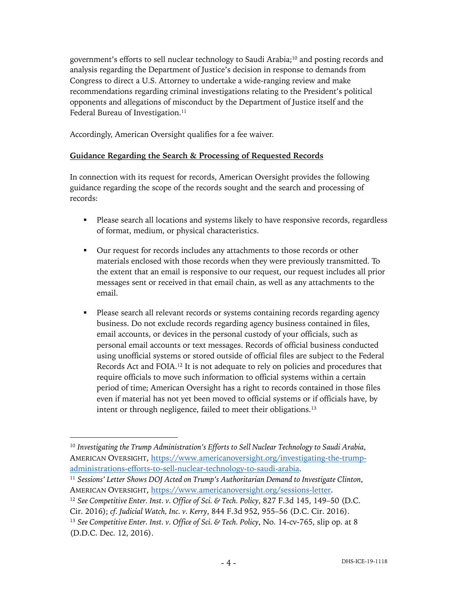government's efforts to sell nuclear technology to Saudi Arabia;10 and posting records and analysis regarding the Department of Justice's decision in response to demands from Congress to direct a U.S. Attorney to undertake a wide-ranging review and make recommendations regarding criminal investigations relating to the President's political opponents and allegations of misconduct by the Department of Justice itself and the Federal Bureau of Investigation.<sup>11</sup>

Accordingly, American Oversight qualifies for a fee waiver.

# **Guidance Regarding the Search & Processing of Requested Records**

In connection with its request for records, American Oversight provides the following guidance regarding the scope of the records sought and the search and processing of records:

- Please search all locations and systems likely to have responsive records, regardless of format, medium, or physical characteristics.
- Our request for records includes any attachments to those records or other materials enclosed with those records when they were previously transmitted. To the extent that an email is responsive to our request, our request includes all prior messages sent or received in that email chain, as well as any attachments to the email.
- § Please search all relevant records or systems containing records regarding agency business. Do not exclude records regarding agency business contained in files, email accounts, or devices in the personal custody of your officials, such as personal email accounts or text messages. Records of official business conducted using unofficial systems or stored outside of official files are subject to the Federal Records Act and FOIA.12 It is not adequate to rely on policies and procedures that require officials to move such information to official systems within a certain period of time; American Oversight has a right to records contained in those files even if material has not yet been moved to official systems or if officials have, by intent or through negligence, failed to meet their obligations.<sup>13</sup>

<sup>10</sup> *Investigating the Trump Administration's Efforts to Sell Nuclear Technology to Saudi Arabia*, AMERICAN OVERSIGHT, https://www.americanoversight.org/investigating-the-trumpadministrations-efforts-to-sell-nuclear-technology-to-saudi-arabia.

<sup>11</sup> *Sessions' Letter Shows DOJ Acted on Trump's Authoritarian Demand to Investigate Clinton*, AMERICAN OVERSIGHT, https://www.americanoversight.org/sessions-letter.

<sup>12</sup> *See Competitive Enter. Inst. v. Office of Sci. & Tech. Policy*, 827 F.3d 145, 149–50 (D.C.

Cir. 2016); *cf. Judicial Watch, Inc. v. Kerry*, 844 F.3d 952, 955–56 (D.C. Cir. 2016).

<sup>13</sup> *See Competitive Enter. Inst. v. Office of Sci. & Tech. Policy*, No. 14-cv-765, slip op. at 8 (D.D.C. Dec. 12, 2016).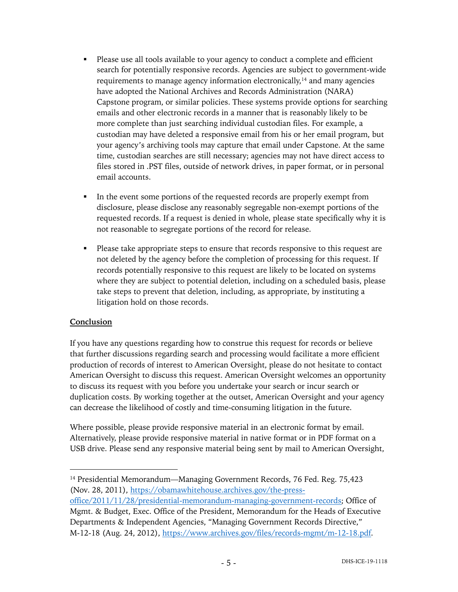- Please use all tools available to your agency to conduct a complete and efficient search for potentially responsive records. Agencies are subject to government-wide requirements to manage agency information electronically,<sup>14</sup> and many agencies have adopted the National Archives and Records Administration (NARA) Capstone program, or similar policies. These systems provide options for searching emails and other electronic records in a manner that is reasonably likely to be more complete than just searching individual custodian files. For example, a custodian may have deleted a responsive email from his or her email program, but your agency's archiving tools may capture that email under Capstone. At the same time, custodian searches are still necessary; agencies may not have direct access to files stored in .PST files, outside of network drives, in paper format, or in personal email accounts.
- § In the event some portions of the requested records are properly exempt from disclosure, please disclose any reasonably segregable non-exempt portions of the requested records. If a request is denied in whole, please state specifically why it is not reasonable to segregate portions of the record for release.
- Please take appropriate steps to ensure that records responsive to this request are not deleted by the agency before the completion of processing for this request. If records potentially responsive to this request are likely to be located on systems where they are subject to potential deletion, including on a scheduled basis, please take steps to prevent that deletion, including, as appropriate, by instituting a litigation hold on those records.

# **Conclusion**

If you have any questions regarding how to construe this request for records or believe that further discussions regarding search and processing would facilitate a more efficient production of records of interest to American Oversight, please do not hesitate to contact American Oversight to discuss this request. American Oversight welcomes an opportunity to discuss its request with you before you undertake your search or incur search or duplication costs. By working together at the outset, American Oversight and your agency can decrease the likelihood of costly and time-consuming litigation in the future.

Where possible, please provide responsive material in an electronic format by email. Alternatively, please provide responsive material in native format or in PDF format on a USB drive. Please send any responsive material being sent by mail to American Oversight,

office/2011/11/28/presidential-memorandum-managing-government-records; Office of Mgmt. & Budget, Exec. Office of the President, Memorandum for the Heads of Executive Departments & Independent Agencies, "Managing Government Records Directive," M-12-18 (Aug. 24, 2012), https://www.archives.gov/files/records-mgmt/m-12-18.pdf.

<sup>14</sup> Presidential Memorandum—Managing Government Records, 76 Fed. Reg. 75,423 (Nov. 28, 2011), https://obamawhitehouse.archives.gov/the-press-